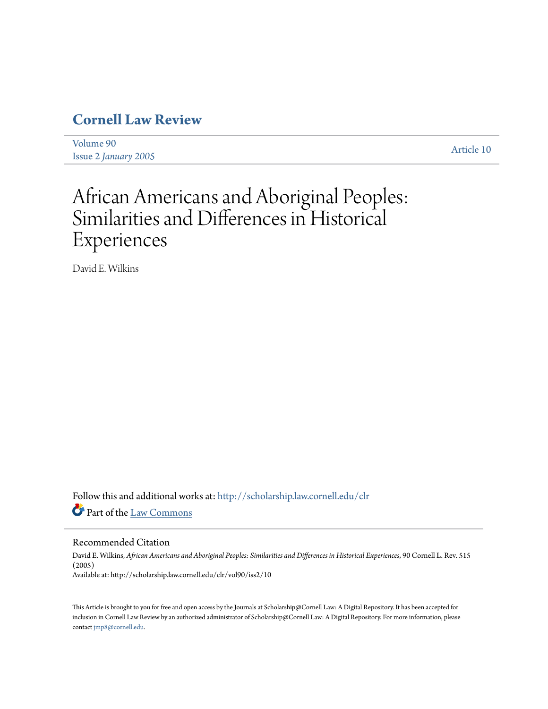## **[Cornell Law Review](http://scholarship.law.cornell.edu/clr?utm_source=scholarship.law.cornell.edu%2Fclr%2Fvol90%2Fiss2%2F10&utm_medium=PDF&utm_campaign=PDFCoverPages)**

[Volume 90](http://scholarship.law.cornell.edu/clr/vol90?utm_source=scholarship.law.cornell.edu%2Fclr%2Fvol90%2Fiss2%2F10&utm_medium=PDF&utm_campaign=PDFCoverPages) Issue 2 *January* 2005<br>Issue 2 *January* 2005

# African Americans and Aboriginal Peoples: Similarities and Differences in Historical Experiences

David E. Wilkins

Follow this and additional works at: [http://scholarship.law.cornell.edu/clr](http://scholarship.law.cornell.edu/clr?utm_source=scholarship.law.cornell.edu%2Fclr%2Fvol90%2Fiss2%2F10&utm_medium=PDF&utm_campaign=PDFCoverPages) Part of the [Law Commons](http://network.bepress.com/hgg/discipline/578?utm_source=scholarship.law.cornell.edu%2Fclr%2Fvol90%2Fiss2%2F10&utm_medium=PDF&utm_campaign=PDFCoverPages)

#### Recommended Citation

David E. Wilkins, *African Americans and Aboriginal Peoples: Similarities and Differences in Historical Experiences*, 90 Cornell L. Rev. 515 (2005) Available at: http://scholarship.law.cornell.edu/clr/vol90/iss2/10

This Article is brought to you for free and open access by the Journals at Scholarship@Cornell Law: A Digital Repository. It has been accepted for inclusion in Cornell Law Review by an authorized administrator of Scholarship@Cornell Law: A Digital Repository. For more information, please contact [jmp8@cornell.edu.](mailto:jmp8@cornell.edu)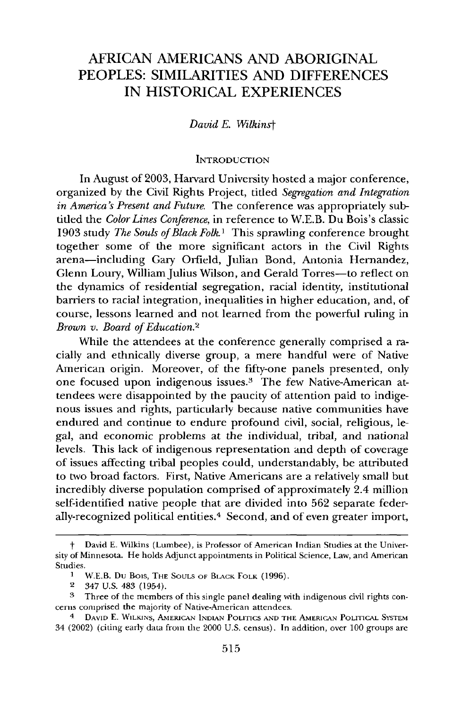### AFRICAN AMERICANS AND ABORIGINAL PEOPLES: SIMILARITIES AND DIFFERENCES IN HISTORICAL EXPERIENCES

*David E. Wilkinst*

#### **INTRODUCTION**

In August of 2003, Harvard University hosted a major conference, organized by the Civil Rights Project, titled *Segregation and Integration in America's Present and Future.* The conference was appropriately subtided the *Color Lines Conference,* in reference to W.E.B. Du Bois's classic 1903 study *The Souls of Black Folk.'* This sprawling conference brought together some of the more significant actors in the Civil Rights arena-including Gary Orfield, Julian Bond, Antonia Hernandez, Glenn Loury, William Julius Wilson, and Gerald Torres-to reflect on the dynamics of residential segregation, racial identity, institutional barriers to racial integration, inequalities in higher education, and, of course, lessons learned and not learned from the powerful ruling in *Brown v. Board of Education.2*

While the attendees at the conference generally comprised a racially and ethnically diverse group, a mere handful were of Native American origin. Moreover, of the fifty-one panels presented, only one focused upon indigenous issues.3 The few Native-American attendees were disappointed by the paucity of attention paid to indigenous issues and rights, particularly because native communities have endured and continue to endure profound civil, social, religious, legal, and economic problems at the individual, tribal, and national levels. This lack of indigenous representation and depth of coverage of issues affecting tribal peoples could, understandably, be attributed to two broad factors. First, Native Americans are a relatively small but incredibly diverse population comprised of approximately 2.4 million self-identified native people that are divided into 562 separate federally-recognized political entities. 4 Second, and of even greater import,

David E. Wilkins (Lumbee), is Professor of American Indian Studies at the University of Minnesota. He holds Adjunct appointments in Political Science, Law, and American Studies.

**I** W.E.B. Du Bois, THE **SOULS** OF BLACK FOLK (1996).

<sup>2</sup> 347 U.S. 483 (1954).

**<sup>3</sup>** Three of the members of this single panel dealing with indigenous civil rights concerns comprised the majority of Native-American attendees.

<sup>4</sup> **DAVID** E. WILKINS, AMERICAN **INDIAN** POLITICS **AND** THE **AMERICAN** POLITICAL SYSTEM 34 (2002) (citing early data from the 2000 U.S. census). In addition, over 100 groups arc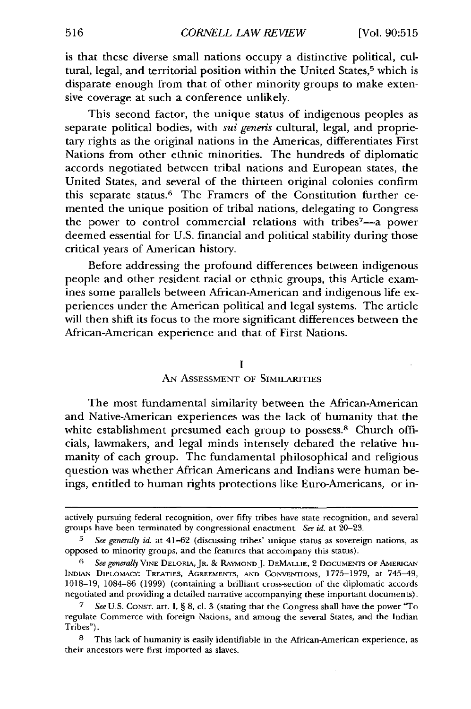is that these diverse small nations occupy a distinctive political, cultural, legal, and territorial position within the United States,<sup>5</sup> which is disparate enough from that of other minority groups to make extensive coverage at such a conference unlikely.

This second factor, the unique status of indigenous peoples as separate political bodies, with *sui generis* cultural, legal, and proprietary rights as the original nations in the Americas, differentiates First Nations from other ethnic minorities. The hundreds of diplomatic accords negotiated between tribal nations and European states, the United States, and several of the thirteen original colonies confirm this separate status. 6 The Framers of the Constitution further cemented the unique position of tribal nations, delegating to Congress the power to control commercial relations with tribes7-a power deemed essential for U.S. financial and political stability during those critical years of American history.

Before addressing the profound differences between indigenous people and other resident racial or ethnic groups, this Article examines some parallels between African-American and indigenous life experiences under the American political and legal systems. The article will then shift its focus to the more significant differences between the African-American experience and that of First Nations.

#### **I**

#### AN ASSESSMENT OF SIMILARITIES

The most fundamental similarity between the African-American and Native-American experiences was the lack of humanity that the white establishment presumed each group to possess.<sup>8</sup> Church officials, lawmakers, and legal minds intensely debated the relative humanity of each group. The fundamental philosophical and religious question was whether African Americans and Indians were human beings, entitled to human rights protections like Euro-Americans, or in-

actively pursuing federal recognition, over fifty tribes have state recognition, and several groups have been terminated by congressional enactment. *See id.* at 20-23.

**<sup>5</sup>***See generally id.* at 41-62 (discussing tribes' unique status as sovereign nations, as opposed to minority groups, and the features that accompany this status).

*<sup>6</sup> See generally* VINE DELORIA, JR. **&** RAYMOND J. **DEMALLIE,** 2 **DOCUMENTS** OF AMERICAN INDIAN DIPLOMACY: TREATIES, AGREEMENTS, AND CONVENTIONS, 1775-1979, at 745-49, 1018-19, 1084-86 (1999) (containing a brilliant cross-section of the diplomatic accords negotiated and providing a detailed narrative accompanying these important documents).

**<sup>7</sup>** *See* U.S. CONST. art. I, § 8, cl. 3 (stating that the Congress shall have the power "To regulate Commerce with foreign Nations, and among the several States, and the Indian Tribes").

<sup>8</sup> This lack of humanity is easily identifiable in the African-American experience, as their ancestors were first imported as slaves.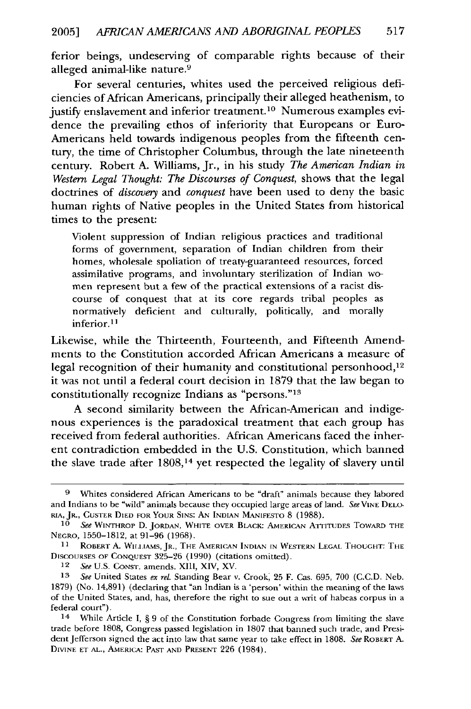ferior beings, undeserving of comparable rights because of their alleged animal-like nature. <sup>9</sup>

For several centuries, whites used the perceived religious deficiencies of African Americans, principally their alleged heathenism, to justify enslavement and inferior treatment.<sup>10</sup> Numerous examples evidence the prevailing ethos of inferiority that Europeans or Euro-Americans held towards indigenous peoples from the fifteenth century, the time of Christopher Columbus, through the late nineteenth century. Robert A. Williams, Jr., in his study *The American Indian in Western Legal Thought: The Discourses of Conquest,* shows that the legal doctrines of *discovery* and *conquest* have been used to deny the basic human rights of Native peoples in the United States from historical times to the present:

Violent suppression of Indian religious practices and traditional forms of government, separation of Indian children from their homes, wholesale spoliation of treaty-guaranteed resources, forced assimilative programs, and involuntary sterilization of Indian women represent but a few of the practical extensions of a racist discourse of conquest that at its core regards tribal peoples as normatively deficient and culturally, politically, and morally inferior.<sup>11</sup>

Likewise, while the Thirteenth, Fourteenth, and Fifteenth Amendments to the Constitution accorded African Americans a measure of legal recognition of their humanity and constitutional personhood,<sup>12</sup> it was not until a federal court decision in 1879 that the law began to constitutionally recognize Indians as "persons."<sup>13</sup>

A second similarity between the African-American and indigenous experiences is the paradoxical treatment that each group has received from federal authorities. African Americans faced the inherent contradiction embedded in the U.S. Constitution, which banned the slave trade after 1808,<sup>14</sup> yet respected the legality of slavery until

**<sup>9</sup>** Whites considered African Americans to be "draft" animals because they labored and Indians to be "wild" animals because they occupied large areas of land. See **VINE** DELO-RIA, JR., **CUSTER DIED FOR** YOUR **SINS:** AN INDIAN MANIFESTO 8 (1988).

*<sup>10</sup> See* WINTHROP D. JORDAN, WHITE OVER BLACK: AMERICAN ATTITUDES TOWARD THE **NEGRO,** 1550-1812, at 91-96 (1968).

<sup>11</sup> ROBERT A. WItIsAMS, JR., **THE** AMERICAN **INDIAN** IN WESTERN **LEGAL THOUGHT:** THE DISCOURSES OF **CONQUEST** 325-26 (1990) (citations omitted).

*<sup>12</sup> See* U.S. **CONST.** amends. XIII, XIV, XV.

*<sup>13</sup> See* United States *ex rel.* Standing Bear v. Crook 25 F. Cas. 695, 700 (C.C.D. Neb. 1879) (No. 14,891) (declaring that *"an* Indian is a 'person' within the meaning of the laws of the United States, and, has, therefore the right to sue out a writ of habeas corpus in a federal court").

<sup>14</sup> While Article I, § 9 of the Constitution forbade Congress from limiting the slave trade before 1808, Congress passed legislation in 1807 that banned such trade, and President Jefferson signed the act into law that same year to take effect in 1808. *See* ROBERT A. DrVINE ET AL., AMERICA: **PAST** AND **PRESENT** 226 (1984).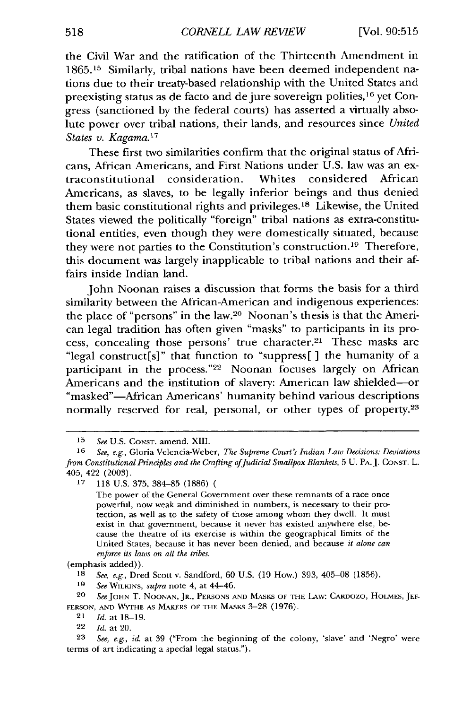the Civil War and the ratification of the Thirteenth Amendment in 1865.15 Similarly, tribal nations have been deemed independent nations due to their treaty-based relationship with the United States and preexisting status as de facto and de jure sovereign polities, <sup>16</sup> yet Congress (sanctioned by the federal courts) has asserted a virtually absolute power over tribal nations, their lands, and resources since *United States v. Kagama.1 <sup>7</sup>*

These first two similarities confirm that the original status of Africans, African Americans, and First Nations under U.S. law was an extraconstitutional consideration. Whites considered African Americans, as slaves, to be legally inferior beings and thus denied them basic constitutional rights and privileges.18 Likewise, the United States viewed the politically "foreign" tribal nations as extra-constitutional entities, even though they were domestically situated, because they were not parties to the Constitution's construction. 19 Therefore, this document was largely inapplicable to tribal nations and their affairs inside Indian land.

John Noonan raises a discussion that forms the basis for a third similarity between the African-American and indigenous experiences: the place of "persons" in the law.20 Noonan's thesis is that the American legal tradition has often given "masks" to participants in its process, concealing those persons' true character.<sup>21</sup> These masks are "legal construct[s]" that function to "suppress[ ] the humanity of a participant in the process."<sup>22</sup> Noonan focuses largely on African Americans and the institution of slavery: American law shielded-or "masked"-African Americans' humanity behind various descriptions normally reserved for real, personal, or other types of property.<sup>23</sup>

(emphasis added)).

**18** *See, e.g.,* Dred Scott v. Sandford, 60 U.S. (19 How.) 393, 405-08 (1856).

**19** *See* WILKINS, *supra* note 4, at 44-46.

**20** *SeeJOHN* T. **NOONAN,** JR., PERSONS **AND MASKS** OF THE LAw: CARDozo, **HOLMES, JEF-FERSON, AND WAYrHE AS** MAKERS OF THE **MASKS** 3-28 (1976).

22 *Id.* at 20.

**23** *See, e.g., id.* at 39 ("From the beginning of the colony, 'slave' and 'Negro' were terms of art indicating a special legal status.").

*<sup>15</sup> See* U.S. **CONST.** amend. XIII.

**<sup>16</sup>** *See,* e.g., Gloria Velencia-Weber, *The Supreme Court's Indian Law Decisions: Deviations from Constitutional Principles and the Crafting of Judicial Smallpox Blankets, 5 U. PA. J. CONST. L.* 405, 422 (2003).

**<sup>17</sup>** 118 U.S. 375, 384-85 (1886)

The power of the General Government over these remnants of a race once powerful, now weak and diminished in numbers, is necessary to their protection, as well as to the safety of those among whom they dwell. It must exist in that government, because it never has existed anywhere else, because the theatre of its exercise is within the geographical limits of the United States, because it has never been denied, and because *it alone can enforce its laws on all the tribes.*

<sup>21</sup> *Id.* at 18-19.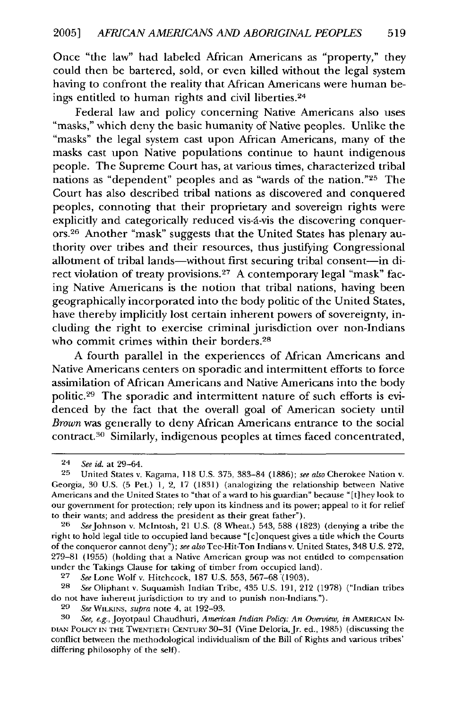Once "the law" had labeled African Americans as "property," they could then be bartered, sold, or even killed without the legal system having to confront the reality that African Americans were human beings entitled to human rights and civil liberties.<sup>24</sup>

Federal law and policy concerning Native Americans also uses "masks," which deny the basic humanity of Native peoples. Unlike the "masks" the legal system cast upon African Americans, many of the masks cast upon Native populations continue to haunt indigenous people. The Supreme Court has, at various times, characterized tribal nations as "dependent" peoples and as "wards of the nation."25 The Court has also described tribal nations as discovered and conquered peoples, connoting that their proprietary and sovereign rights were explicitly and categorically reduced vis-á-vis the discovering conquerors. 26 Another "mask" suggests that the United States has plenary authority over tribes and their resources, thus justifying Congressional allotment of tribal lands-without first securing tribal consent-in direct violation of treaty provisions.27 A contemporary legal "mask" facing Native Americans is the notion that tribal nations, having been geographically incorporated into the body politic of the United States, have thereby implicitly lost certain inherent powers of sovereignty, including the right to exercise criminal jurisdiction over non-Indians who commit crimes within their borders.<sup>28</sup>

A fourth parallel in the experiences of African Americans and Native Americans centers on sporadic and intermittent efforts to force assimilation of African Americans and Native Americans into the body politic. 29 The sporadic and intermittent nature of such efforts is evidenced by the fact that the overall goal of American society until *Brown* was generally to deny African Americans entrance to the social contract.30 Similarly, indigenous peoples at times faced concentrated,

<sup>24</sup> *See id.* at 29-64.

<sup>25</sup> United States v. Kagama, 118 U.S. 375, 383-84 (1886); *see also* Cherokee Nation v. Georgia, 30 U.S. (5 Pet.) 1, 2, 17 (1831) (analogizing the relationship between Native Americans and the United States to "that of a ward to his guardian" because "[t]hey look to our government for protection; rely upon its kindness and its power; appeal to it for relief to their wants; and address the president as their great father").

**<sup>26</sup>** SeeJohnson v. McIntosh, 21 U.S. (8 Wheat.) 543, 588 (1823) (denying a tribe the right to hold legal title to occupied land because "[c]onquest gives a title which the Courts of the conqueror cannot deny"); *see also* Tee-Hit-Ton Indians v. United States, 348 U.S. 272, 279-81 (1955) (holding that a Native American group was not entitled to compensation under the Takings Clause for taking of timber from occupied land).

<sup>27</sup> *See* Lone Wolf v. Hitchcock, 187 U.S. 553, 567-68 (1903).

<sup>28</sup> *See* Oliphant v. Suquamish Indian Tribe, 435 U.S. 191, 212 (1978) ("Indian tribes do not have inhecent jurisdiction to try and to punish non-Indians.").

*<sup>29</sup> See* WILKINS, *supra* note 4, at 192-93.

See, e.g., Joyotpaul Chaudhuri, *American Indian Policy: An Overview*, in AMERICAN IN-DIAN POLICY IN THE TWENTIETH CENTURY 30-31 (Vine Deloria, Jr. ed., 1985) (discussing the conflict between the methodological individualism of the Bill of Rights and various tribes' differing philosophy of the self).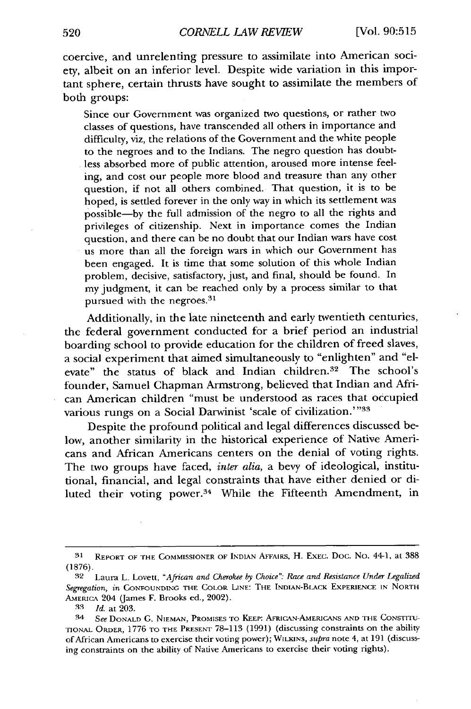coercive, and unrelenting pressure to assimilate into American society, albeit on an inferior level. Despite wide variation in this important sphere, certain thrusts have sought to assimilate the members of both groups:

Since our Government was organized two questions, or rather two classes of questions, have transcended all others in importance and difficulty, viz, the relations of the Government and the white people to the negroes and to the Indians. The negro question has doubtless absorbed more of public attention, aroused more intense feeling, and cost our people more blood and treasure than any other question, if not all others combined. That question, it is to be hoped, is settled forever in the only way in which its settlement was possible-by the full admission of the negro to all the rights and privileges of citizenship. Next in importance comes the Indian question, and there can be no doubt that our Indian wars have cost us more than all the foreign wars in which our Government has been engaged. It is time that some solution of this whole Indian problem, decisive, satisfactory, just, and final, should be found. In my judgment, it can be reached only by a process similar to that pursued with the negroes.<sup>31</sup>

Additionally, in the late nineteenth and early twentieth centuries, the federal government conducted for a brief period an industrial boarding school to provide education for the children of freed slaves, a social experiment that aimed simultaneously to "enlighten" and "elevate" the status of black and Indian children.<sup>32</sup> The school's founder, Samuel Chapman Armstrong, believed that Indian and African American children "must be understood as races that occupied various rungs on a Social Darwinist 'scale of civilization.'"33

Despite the profound political and legal differences discussed below, another similarity in the historical experience of Native Americans and African Americans centers on the denial of voting rights. The two groups have faced, *inter alia,* a bevy of ideological, institutional, financial, and legal constraints that have either denied or diluted their voting power.34 While the Fifteenth Amendment, in

**<sup>31</sup>**REPORT **OF THE** COMMISSIONER **OF INDIAN AFFAIRS,** H. **EXEC.** Doc. No. 44-1, at 388 (1876).

**<sup>32</sup>** Laura L. Lovett, *"African and Cherokee by Choice".- Race and Resistance Under Legalized Segregation, in* **CONFOUNDING THE** COLOR LINE: THE INDIAN-BLACK **EXPERIENCE IN** NORTH AMERICA 204 (James F. Brooks ed., 2002).

<sup>33</sup> *Id.* at 203.

<sup>34</sup> *See* **DONALD C. NIEMAN,** PROMISES **TO KEEP:** AFRICAN-AMERICANS **AND THE** CONSTITU-**TIONAL** ORDER, **1776** TO THE PRESENT 78-113 (1991) (discussing constraints on the ability of African Americans **to** exercise their voting power); WILKINS, *supra* note 4, at 191 (discussing constraints on the ability of Native Americans to exercise their voting rights).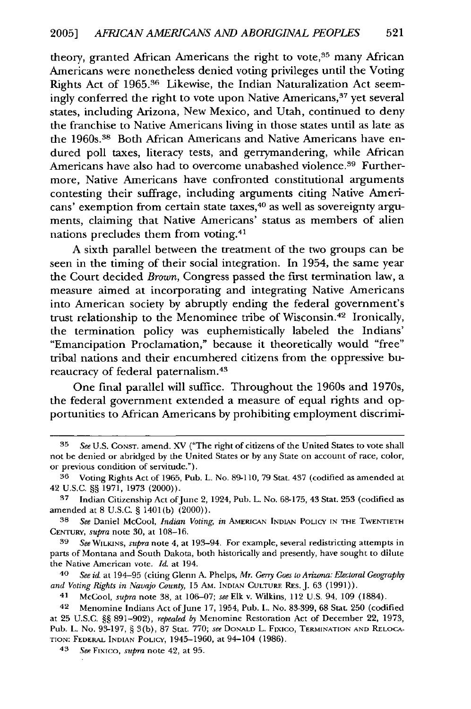theory, granted African Americans the right to vote, $35$  many African Americans were nonetheless denied voting privileges until the Voting Rights Act of **1965.36** Likewise, the Indian Naturalization Act seemingly conferred the right to vote upon Native Americans,<sup>37</sup> yet several states, including Arizona, New Mexico, and Utah, continued to deny the franchise to Native Americans living in those states until as late as the 1960s.38 Both African Americans and Native Americans have endured poll taxes, literacy tests, and gerrymandering, while African Americans have also had to overcome unabashed violence.<sup>39</sup> Furthermore, Native Americans have confronted constitutional arguments contesting their suffrage, including arguments citing Native Americans' exemption from certain state taxes, 40 as well as sovereignty arguments, claiming that Native Americans' status as members of alien nations precludes them from voting.<sup>41</sup>

**A** sixth parallel between the treatment of the two groups can be seen in the timing of their social integration. In 1954, the same year the Court decided *Brown,* Congress passed the first termination law, a measure aimed at incorporating and integrating Native Americans into American society **by** abruptly ending the federal government's trust relationship to the Menominee tribe of Wisconsin.42 Ironically, the termination policy was euphemistically labeled the Indians' "Emancipation Proclamation," because it theoretically would "free" tribal nations and their encumbered citizens from the oppressive bureaucracy of federal paternalism **. 4 3**

One final parallel will suffice. Throughout the 1960s and 1970s, the federal government extended a measure of equal rights and opportunities to African Americans **by** prohibiting employment discrimi-

*39 See* WILKINs, *supra* note 4, at 193-94. For example, several redistricting attempts in parts of Montana and South Dakota, both historically and presently, have sought to dilute the Native American vote. *Id.* at 194.

*40 See id.* at 194-95 (citing Glenn **A.** Phelps, *Mr. Gerry Goes to Arizona: Electoral Geography and Voting Rights in Navajo County,* 15 AM. INDIAN **CULTURE** REs. J. 63 (1991)).

41 McCool, *supra* note **38,** at **106-07;** *see* Elk v. Wilkins, 112 U.S. 94, 109 (1884).

42 Menomine Indians Act of June 17, 1954, Pub. L. No. 83-399, 68 Stat. 250 (codified at 25 U.S.C. §§ 891-902), *repealed by* Menomine Restoration Act of December 22, 1973, Pub. L. No. 93-197, § 3(b), 87 Stat. **770;** *see* **DONALD** L. Fixico, TERMINATION **AND** RELOCA-**TION:** FEDERAL **INDIAN** POLICY, 1945-1960, at 94-104 (1986).

43 *See* Fixico, *supra* note 42, at 95.

*<sup>35</sup> See* U.S. CONsT. amend. XV ("The right of citizens of the United States to vote shall not be denied or abridged **by** the United States or **by** any State on account of race, color, or previous condition of servitude.").

**<sup>36</sup>** Voting Rights **Act** of 1965, Pub. L. No. 89-110, 79 Stat. 437 (codified as amended at 42 U.S.C. **§§** 1971, 1973 (2000)).

**<sup>47</sup>** Indian Citizenship Act ofJune 2, 1924, Pub. L. No. 68-175, 43 Stat. **253** (codified as amended at 8 U.S.C. § 1401(b) (2000)).

**<sup>38</sup>** *See* Daniel McCool, *Indian Voting, in* AMERICAN INDIAN POLICY IN THE TWENTIETH **CENTURY,** *supra* note 30, at 108-16.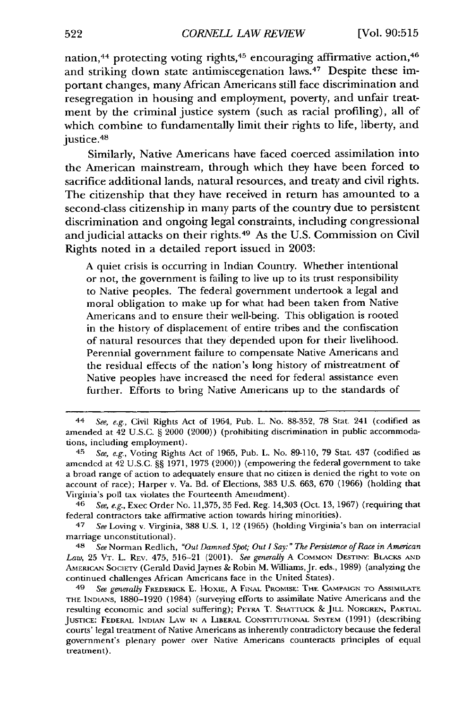nation,  $44$  protecting voting rights,  $45$  encouraging affirmative action,  $46$ and striking down state antimiscegenation laws. 47 Despite these important changes, many African Americans still face discrimination and resegregation in housing and employment, poverty, and unfair treatment **by** the criminal justice system (such as racial profiling), all of which combine to fundamentally limit their rights to life, liberty, and justice.<sup>48</sup>

Similarly, Native Americans have faced coerced assimilation into the American mainstream, through which they have been forced to sacrifice additional lands, natural resources, and treaty and civil rights. The citizenship that they have received in return has amounted to a second-class citizenship in many parts of the country due to persistent discrimination and ongoing legal constraints, including congressional and judicial attacks on their rights. 49 As the **U.S.** Commission on Civil Rights noted in a detailed report issued in **2003:**

**A** quiet crisis is occurring in Indian **Country.** Whether intentional or not, the government is failing to live up to its trust responsibility to Native peoples. The federal government undertook a legal and moral obligation to make up for what had been taken from Native Americans and to ensure their well-being. This obligation is rooted in the history of displacement of entire tribes and the confiscation of natural resources that they depended upon for their livelihood. Perennial government failure to compensate Native Americans and the residual effects of the nation's long history of mistreatment of Native peoples have increased the need for federal assistance even further. Efforts to bring Native Americans up to the standards of

<sup>44</sup> *See, e.g.,* Civil Rights Act of 1964, Pub. L. No. 88-352, 78 Stat. 241 (codified as amended at 42 U.S.C. § 2000 (2000)) (prohibiting discrimination in public accommodations, including employment).

<sup>45</sup> *See, e.g.,* Voting Rights Act of 1965, Pub. L. No. 89-110, 79 Stat. 437 (codified as amcnded at 42 U.S.C. §§ 1971, 1973 (2000)) (empowering the federal government to take a broad range of action to adequately ensure that no citizen is denied the right to vote on account of race); Harper v. Va. Bd. of Elections, 383 U.S. 663, 670 (1966) (holding that Virginia's poll tax violates the Fourteenth Amendment).

<sup>46</sup> *See, e.g.,* Exec Order No. 11,375, 35 Fed. Reg. 14,303 (Oct. 13, 1967) (requiring that federal contractors take affirmative action towards hiring minorities).

<sup>47</sup> *See* Loving v. Virginia, 388 U.S. **1,** 12 (1965) (holding Virginia's ban on interracial marriage unconstitutional).

<sup>48</sup> *See* Norman Redlich, *"Out Damned Spot; Out I Say:" The Persistence of Race in American Law,* 25 VT. L. REv. 475, 516-21 (2001). *See generally* A COMMON DESTINY: BLACKS **AND AMERICAN** SOCIETY (Gerald DavidJaynes **&** Robin M. Williams,Jr. eds., **1989)** (analyzing the continued challenges African Amcricans face in the United States).

<sup>&</sup>lt;sup>49</sup> See generally FREDERICK E. HOXIE, A FINAL PROMISE: THE CAMPAIGN TO ASSIMILATE THE **INDIANS,** 1880-1920 (1984) (surveying efforts to assimilate Native Americans and the resulting economic and social suffering); PE-I'RA T. SHATrUCK & **JILL** NORGREN, **PARTAL** JUSTICE: FEDERAL INDIAN LAW **IN A** LIBERAL CONSTITUTIONAL SYSTEM (1991) (describing courts' legal treatment of Native Americans as inherently contradictory because the federal government's plenary power over Native Americans counteracts principles of equal treatment).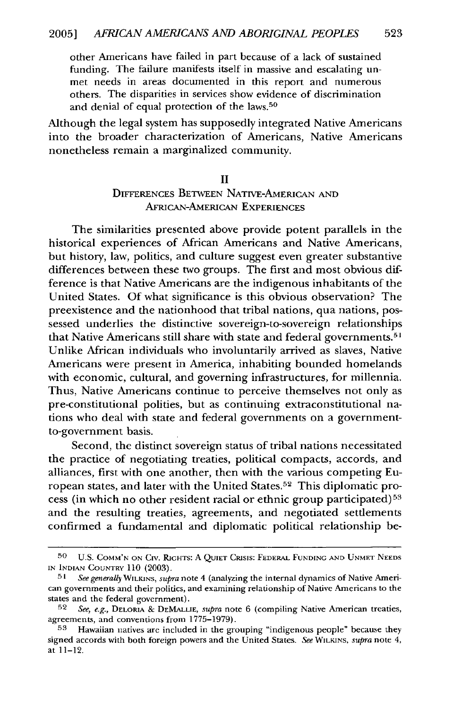other Americans have failed in part because of a lack of sustained funding. The failure manifests itself in massive and escalating unmet needs in areas documented in this report and numerous others. The disparities in services show evidence of discrimination and denial of equal protection of the laws.<sup>50</sup>

Although the legal system has supposedly integrated Native Americans into the broader characterization of Americans, Native Americans nonetheless remain a marginalized community.

#### II

#### DIFFERENCES BETWEEN NATIVE-AMERICAN AND AFRICAN-AMERICAN EXPERIENCES

The similarities presented above provide potent parallels in the historical experiences of African Americans and Native Americans, but history, law, politics, and culture suggest even greater substantive differences between these two groups. The first and most obvious difference is that Native Americans are the indigenous inhabitants of the United States. Of what significance is this obvious observation? The preexistence and the nationhood that tribal nations, qua nations, possessed underlies the distinctive sovereign-to-sovereign relationships that Native Americans still share with state and federal governments.<sup>5</sup> Unlike African individuals who involuntarily arrived as slaves, Native Americans were present in America, inhabiting bounded homelands with economic, cultural, and governing infrastructures, for millennia. Thus, Native Americans continue to perceive themselves not only as pre-constitutional polities, but as continuing extraconstitutional nations who deal with state and federal governments on a governmentto-government basis.

Second, the distinct sovereign status of tribal nations necessitated the practice of negotiating treaties, political compacts, accords, and alliances, first with one another, then with the various competing European states, and later with the United States.52 This diplomatic process (in which no other resident racial or ethnic group participated) <sup>53</sup> and the resulting treaties, agreements, and negotiated settlements confirmed a fundamental and diplomatic political relationship be-

**<sup>50</sup>** U.S. COMM'N **ON** Crv. **RaGHTS: A** QUIET CRISIS: FEDERAL **FUNDING AND UNMET NEEDS** IN INDIAN COUNTRY 110 (2003).

**<sup>51</sup>** *See generally* WILKINS, *supra* note 4 (analyzing the internal dynamics of Native American governments and their politics, and examining relationship of Native Americans to the states and the federal government). **<sup>52</sup>***See, e.g.,* DELORIA & **DEMALLIE,** *supra* note 6 (compiling Native American treaties,

agreements, and conventions from 1775-1979).

**<sup>53</sup>** Hawaiian natives are included in the grouping "indigenous people" because they signed accords with both foreign powers and the United States. *See* WILKINS, *supra* note 4, at 11-12.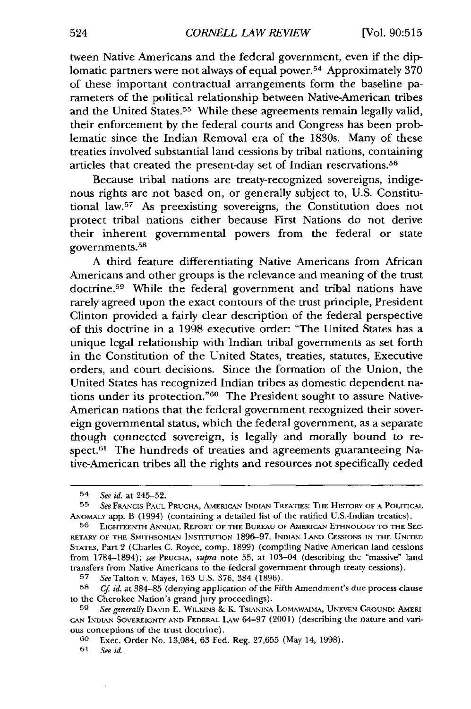tween Native Americans and the federal government, even if the diplomatic partners were not always of equal power.<sup>54</sup> Approximately 370 of these important contractual arrangements form the baseline parameters of the political relationship between Native-American tribes and the United States.<sup>55</sup> While these agreements remain legally valid, their enforcement by the federal courts and Congress has been problematic since the Indian Removal era of the 1830s. Many of these treaties involved substantial land cessions by tribal nations, containing articles that created the present-day set of Indian reservations.<sup>56</sup>

Because tribal nations are treaty-recognized sovereigns, indigenous rights are not based on, or generally subject to, U.S. Constitutional law.<sup>57</sup> As preexisting sovereigns, the Constitution does not protect tribal nations either because First Nations do not derive their inherent governmental powers from the federal or state governments.<sup>58</sup>

A third feature differentiating Native Americans from African Americans and other groups is the relevance and meaning of the trust doctrine.<sup>59</sup> While the federal government and tribal nations have rarely agreed upon the exact contours of the trust principle, President Clinton provided a fairly clear description of the federal perspective of this doctrine in a 1998 executive order: "The United States has a unique legal relationship with Indian tribal governments as set forth in the Constitution of the United States, treaties, statutes, Executive orders, and court decisions. Since the formation of the Union, the United States has recognized Indian tribes as domestic dependent nations under its protection."60 The President sought to assure Native-American nations that the federal government recognized their sovereign governmental status, which the federal government, as a separate though connected sovereign, is legally and morally bound to respect.<sup>61</sup> The hundreds of treaties and agreements guaranteeing Native-American tribes all the rights and resources not specifically ceded

**61 Se** *id.*

<sup>54</sup> *See id.* at 245-52.

**<sup>55</sup>** *See* **FRANCIS PAUL PRUCHA, AMERICAN INDIAN** TREATIES: THE HISTORY **OF A** POLITICAL ANOMALY app. B (1994) (containing a detailed list of the ratified U.S.-Indian treaties).

**<sup>56</sup> EIGHTEENTH ANNUAL** REPORT **OF THE** BUREAU OF AMERICAN **ETHNOLOGY** TO **THE** SEC-RETARY OF THE SMITHSONIAN INSTITUTION 1896-97, INDIAN LAND CESSIONS IN THE UNITED STATES, Part 2 (Charles C. Royce, comp. 1899) (compiling Native American land cessions from 1784-1894); *see* **PRUCHA,** *supra* note 55, at 103-04 (describing the "massive" land transfers from Native Americans to the federal government through treaty cessions).

**<sup>57</sup>** *See* Talton v. Mayes, 163 U.S. 376, 384 (1896).

*<sup>58</sup> Cf id.* at 384-85 (denying application of the Fifth Amendment's due process clause to the Cherokee Nation's grand jury proceedings).

**<sup>59</sup>** *See generally* DAVID E. **WILKINS** & *K.* TsANINA **LOMAWAIMA,** UNEVEN GROUND: AMERI-CAN INDIAN SOVEREIGNT AND FEDERAL LAw 64-97 (2001) (describing the nature and various conceptions of the **trust** doctrine).

**<sup>6</sup>o** Exec. Order No. 13,084, 63 Fed. Reg. 27,655 (May 14, 1998).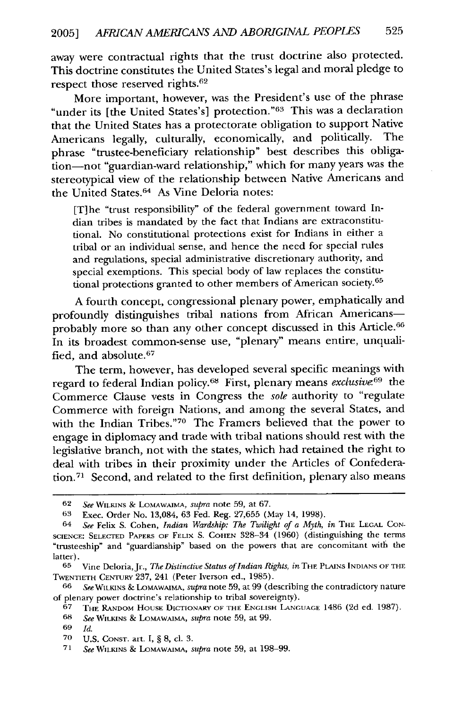away were contractual rights that the trust doctrine also protected. This doctrine constitutes the United States's legal and moral pledge to respect those reserved rights.<sup>62</sup>

More important, however, was the President's use of the phrase "under its [the United States's] protection."<sup>63</sup> This was a declaration that the United States has a protectorate obligation to support Native<br>Americans legally culturally economically and politically. The Americans legally, culturally, economically, and politically. phrase "trustee-beneficiary relationship" best describes this obligation-not "guardian-ward relationship," which for many years was the stereotypical view of the relationship between Native Americans and the United States.<sup>64</sup> As Vine Deloria notes:

[T]he "trust responsibility" of the federal government toward Indian tribes is mandated by the fact that Indians are extraconstitutional. No constitutional protections exist for Indians in either a tribal or an individual sense, and hence the need for special rules and regulations, special administrative discretionary authority, and special exemptions. This special body of law replaces the constitutional protections granted to other members of American society.<sup>65</sup>

A fourth concept, congressional plenary power, emphatically and profoundly distinguishes tribal nations from African Americansprobably more so than any other concept discussed in this Article.<sup>66</sup> In its broadest common-sense use, "plenary" means entire, unqualified, and absolute. <sup>67</sup>

The term, however, has developed several specific meanings with regard to federal Indian policy.68 First, plenary means *exclusive69* the Commerce Clause vests in Congress the *sole* authority to "regulate Commerce with foreign Nations, and among the several States, and with the Indian Tribes."70 The Framers believed that the power to engage in diplomacy and trade with tribal nations should rest with the legislative branch, not with the states, which had retained the right to deal with tribes in their proximity under the Articles of Confederation.<sup>71</sup> Second, and related to the first definition, plenary also means

68 *See* WILKINS & LomAWAimA, *supra* note 59, at 99.

<sup>62</sup> *See* WILKINS *&* LOMAWAIMA, *supra* note 59, at 67.

**<sup>63</sup>** Exec. Order No. 13,084, 63 Fed. Reg. 27,655 (May 14, 1998).

<sup>64</sup> *See* Felix S. Cohen, *Indian Wardship: The Twilight of a Myth, in* THE LEGAL CON-**SCIENCE: SELECTED** PAPERS OF FELIX S. COHEN 328-34 (1960) (distinguishing the terms "trusteeship" and "guardianship" based on the powers that are concomitant with the latter).

**<sup>65</sup>** Vine Deloria,Jr., *The Distinctive Status of Indian Rights, in* THE PLAINS INDIANS OF THE TWENTIETH **CENTURY** 237, 241 (Peter Iverson ed., 1985).

**<sup>66</sup>** *See* WILKINS & LOMAWAIMA, *supra* note 59, at 99 (describing the contradictory nature of plenary power doctrine's relationship to tribal sovereignty).

<sup>67</sup> THE RANDOM HOUSE DICTIONARY OF THE **ENGLISH** LANGUAGE 1486 (2d ed. 1987).

<sup>69</sup> *Id.*

**<sup>70</sup>** U.S. CONST. art. I, § 8, cl. 3.

<sup>71</sup> *See* WILKINS & LoMAWAIMA, *supra* note 59, at 198-99.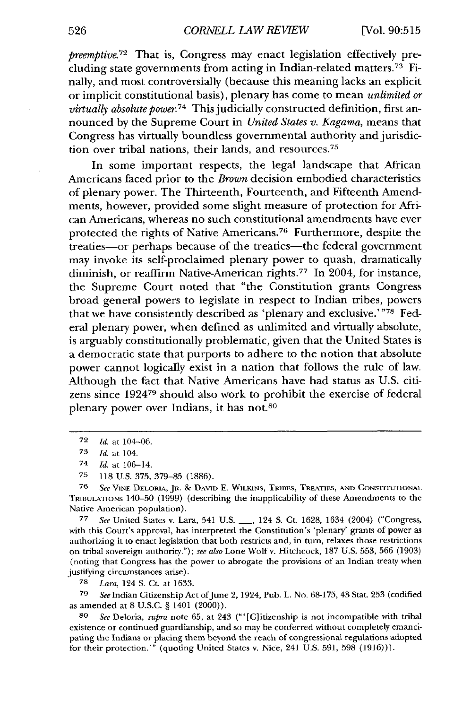*preemptive.*<sup>72</sup> That is, Congress may enact legislation effectively precluding state governments from acting in Indian-related matters.73 Finally, and most controversially (because this meaning lacks an explicit or implicit constitutional basis), plenary has come to mean *unlimited or virtually absolute power.74* This judicially constructed definition, first announced by the Supreme Court in *United States v. Kagama,* means that Congress has virtually boundless governmental authority and jurisdiction over tribal nations, their lands, and resources.<sup>75</sup>

In some important respects, the legal landscape that African Americans faced prior to the *Brown* decision embodied characteristics of plenary power. The Thirteenth, Fourteenth, and Fifteenth Amendments, however, provided some slight measure of protection for African Americans, whereas no such constitutional amendments have ever protected the rights of Native Americans.<sup>76</sup> Furthermore, despite the treaties-or perhaps because of the treaties-the federal government may invoke its self-proclaimed plenary power to quash, dramatically diminish, or reaffirm Native-American rights.<sup>77</sup> In 2004, for instance, the Supreme Court noted that "the Constitution grants Congress broad general powers to legislate in respect to Indian tribes, powers that we have consistently described as 'plenary and exclusive.'"78 Federal plenary power, when defined as unlimited and virtually absolute, is arguably constitutionally problematic, given that the United States is a democratic state that purports to adhere to the notion that absolute power cannot logically exist in a nation that follows the rule of law. Although the fact that Native Americans have had status as U.S. citizens since **192479** should also work to prohibit the exercise of federal plenary power over Indians, it has not.80

**<sup>77</sup>***See* United States v. Lara, 541 U.S. **-,** 124 S. Ct. 1628, 1634 (2004) ("Congress, with this Court's approval, has interpreted the Constitution's 'plenary' grants of power as authorizing it to enact legislation that both restricts and, in turn, relaxes those restrictions on tribal sovereign authority."); see also Lone Wolf v. Hitchcock, 187 U.S. 553, **566** (1903) (noting that Congress has the power to abrogate the provisions of an Indian treaty when justifying circumstances arise).

**78** *Lara,* 124 S. Ct. at 1633.

79 *See* Indian Citizenship Act ofJune 2, 1924, Pub. L. No. 68-175, 43 Stat. 253 (codified as amended at 8 U.S.C. § 1401 (2000)).

*80 See* Deloria, *supra* note **65,** at 243 ("'[C]itizenship is not incompatible with tribal existence or continued guardianship, and so may be conferred without completely emancipating the Indians or placing them beyond the reach of congressional regulations adopted for their protection.'" (quoting United States v. Nice, 241 U.S. 591, 598 (1916))).

<sup>72</sup> *Itd.* at 104-06.

**<sup>73</sup>** *Id.* at 104.

<sup>74</sup> *Id.* at 106-14.

**<sup>75</sup> 118** U.S. 375, 379-85 (1886).

**<sup>75</sup>** *See* VINE DELORIA, **JR.** *&* DAVID **E.** WILKINS, TRIBES, TREATIES, **AND** CONSTITUITIONAL TRIBULATIONS 140-50 (1999) (describing the inapplicability of these Amendments to the Native American population).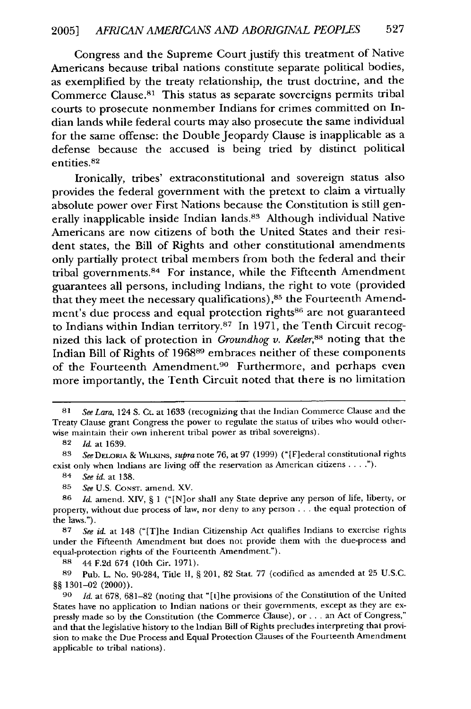Congress and the Supreme Court justify this treatment of Native Americans because tribal nations constitute separate political bodies, as exemplified by the treaty relationship, the trust doctrine, and the Commerce Clause.<sup>81</sup> This status as separate sovereigns permits tribal courts to prosecute nonmember Indians for crimes committed on Indian lands while federal courts may also prosecute the same individual for the same offense: the Double Jeopardy Clause is inapplicable as a defense because the accused is being tried by distinct political entities.82

Ironically, tribes' extraconstitutional and sovereign status also provides the federal government with the pretext to claim a virtually absolute power over First Nations because the Constitution is still generally inapplicable inside Indian lands.<sup>83</sup> Although individual Native Americans are now citizens of both the United States and their resident states, the Bill of Rights and other constitutional amendments only partially protect tribal members from both the federal and their tribal governments.<sup>84</sup> For instance, while the Fifteenth Amendment guarantees all persons, including Indians, the right to vote (provided that they meet the necessary qualifications), 85 the Fourteenth Amendment's due process and equal protection rights<sup>86</sup> are not guaranteed to Indians within Indian territory.87 In **1971,** the Tenth Circuit recognized this lack of protection in *Groundhog v. Keeler,88* noting that the Indian Bill of Rights of 196889 embraces neither of these components of the Fourteenth Amendment.<sup>90</sup> Furthermore, and perhaps even more importantly, the Tenth Circuit noted that there is no limitation

**<sup>81</sup>** *See Lara,* 124 S. Ct. at 1633 (recognizing that the Indian Commerce Clause and the Treaty Clause grant Congress the power to regulate the status of tribes who would otherwise maintain their own inherent tribal power as tribal sovereigns).

**<sup>82</sup>** *Id.* at 1639.

<sup>83</sup> SeeDELORIA & WILKINS, *supra* note 76, at 97 (1999) ("[F]ederal constitutional rights exist only when Indians are living off the reservation as American citizens  $\dots$ .").

<sup>84</sup> *See id.* at 138.

<sup>85</sup> *See* U.S. CONsT. amend. XV.

**<sup>86</sup>** *Id.* amend. XIV, § 1 ("[N]or shall any State deprive any person of life, liberty, or property, without due process of law, nor deny to any person ... the equal protection of the laws.").

**<sup>87</sup>** *See id.* at 148 ("[T]he Indian Citizenship Act qualifies Indians to exercise rights under the Fifteenth Amendment but does not provide them with the due-process and equal-protection rights of the Fourteenth Amendment.").

**<sup>88</sup>** 44 F.2d 674 (10th Cir. 1971).

**<sup>89</sup>** Pub. L. No. 90-284, Title II, § 201, 82 Stat. 77 (codified as amended at 25 U.S.C. §§ 1301-02 (2000)).

**<sup>90</sup>** *Id.* at 678, 681-82 (noting that "[t]he provisions of the Constitution of the United States have no application to Indian nations or their governments, except as they are expressly made so by the Constitution (the Commerce Clause), or **...** an Act of Congress," and that the legislative history to the Indian Bill of Rights precludes interpreting that provision to make the Due Process and Equal Protection Clauses of the Fourteenth Amendment applicable to tribal nations).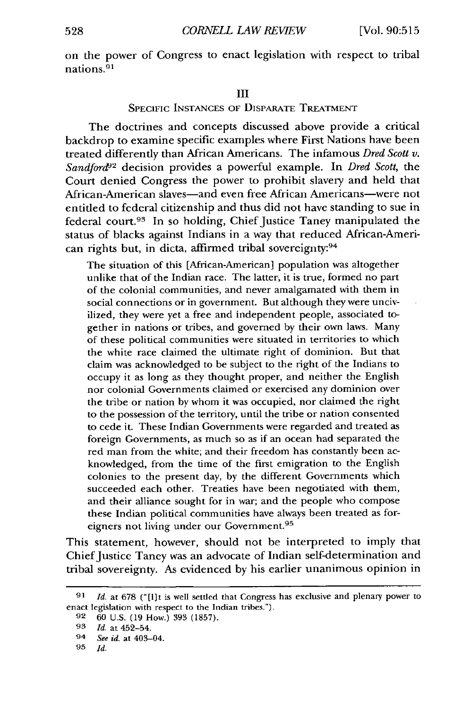on the power of Congress to enact legislation with respect to tribal nations.<sup>91</sup>

#### III

#### SPECIFIC INSTANCES OF DISPARATE TREATMENT

The doctrines and concepts discussed above provide a critical backdrop to examine specific examples where First Nations have been treated differently than African Americans. The infamous *Dred Scott v. Sandford&2* decision provides a powerful example. In *Dred Scott,* the Court denied Congress the power to prohibit slavery and held that African-American slaves-and even free African Americans-were not entiled to federal citizenship and thus did not have standing to sue in federal court.93 In so holding, Chief Justice Taney manipulated the status of blacks against Indians in a way that reduced African-American rights but, in dicta, affirmed tribal sovereignty:<sup>94</sup>

The situation of this [African-American] population was altogether unlike that of the Indian race. The latter, it is true, formed no part of the colonial communities, and never amalgamated with them in social connections or in government. But although they were uncivilized, they were yet a free and independent people, associated together in nations or tribes, and governed **by** their own laws. Many of these political communities were situated in territories to which the white race claimed the ultimate right of dominion. But that claim was acknowledged to be subject to the right of the Indians to occupy it as long as they thought proper, and neither the English nor colonial Governments claimed or exercised any dominion over the tribe or nation by whom it was occupied, nor claimed the right to the possession of the territory, until the tribe or nation consented to cede it. These Indian Governments were regarded and treated as foreign Governments, as much so as if an ocean had separated the red man from the white; and their freedom has constantly been acknowledged, from the time of the first emigration to the English colonies to the present day, by the different Governments which succeeded each other. Treaties have been negotiated with them, and their alliance sought for in war; and the people who compose these Indian political communities have always been treated as foreigners not living under our Government.<sup>95</sup>

This statement, however, should not be interpreted to imply that Chief Justice Taney was an advocate of Indian self-determination and tribal sovereignty. As evidenced by his earlier unanimous opinion in

**<sup>91</sup>** *Id.* at 678 ("[lit is well settled that Congress has exclusive and plenary power to enact legislation with respect to the Indian tribes.").

**<sup>92 60</sup>** U.S. (19 How.) 393 (1857).

**<sup>93</sup>** *Id.* at 452-54.

<sup>94</sup> *See id.* at 403-04.

**<sup>95</sup>** *Id.*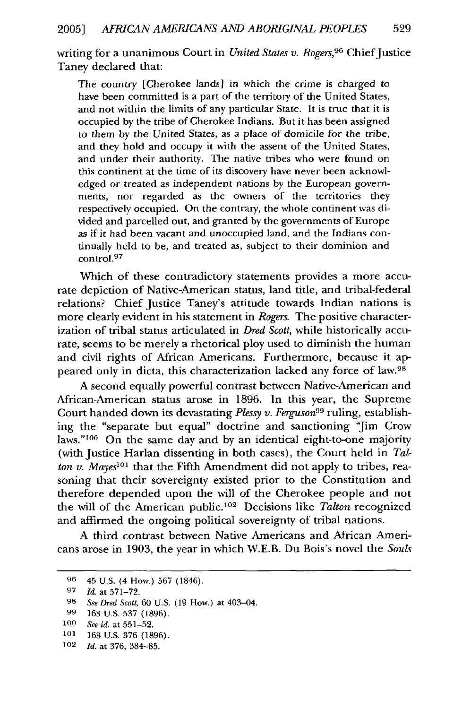writing for a unanimous Court in *United States v. Rogers*,<sup>96</sup> Chief Justice Taney declared that:

The country [Cherokee lands] in which the crime is charged to have been committed is a part of the territory of the United States, and not within the limits of any particular State. It is true that it is occupied by the tribe of Cherokee Indians. But it has been assigned to them by the United States, as a place of domicile for the tribe, and they hold and occupy it with the assent of the United States, and under their authority. The native tribes who were found on this continent at the time of its discovery have never been acknowledged or treated as independent nations by the European governments, nor regarded as the owners of the territories they respectively occupied. On the contrary, the whole continent was divided and parcelled out, and granted by the governments of Europe as if it had been vacant and unoccupied land, and the Indians continually held to be, and treated as, subject to their dominion and control.<sup>97</sup>

Which of these contradictory statements provides a more accurate depiction of Native-American status, land title, and tribal-federal relations? Chief Justice Taney's attitude towards Indian nations is more clearly evident in his statement in *Rogers.* The positive characterization of tribal status articulated in *Dred Scott,* while historically accurate, seems to be merely a rhetorical ploy used to diminish the human and civil rights of African Americans. Furthermore, because it appeared only in dicta, this characterization lacked any force of law.98

A second equally powerful contrast between Native-American and African-American status arose in 1896. In this year, the Supreme Court handed down its devastating *Plessy v. Ferguson99* ruling, establishing the "separate but equal" doctrine and sanctioning 'Jim Crow laws."<sup>100</sup> On the same day and by an identical eight-to-one majority (with Justice Harlan dissenting in both cases), the Court held in *Talton v. Mayes*<sup>101</sup> that the Fifth Amendment did not apply to tribes, reasoning that their sovereignty existed prior to the Constitution and therefore depended upon the will of the Cherokee people and not the will of the American public.<sup>102</sup> Decisions like *Talton* recognized and affirmed the ongoing political sovereignty of tribal nations.

A third contrast between Native Americans and African Americans arose in 1903, the year in which W.E.B. Du Bois's novel the *Souls*

- **101** 163 U.S. 376 (1896).
- 102 *Id.* at 376, 384-85.

**<sup>96</sup>** 45 U.S. (4 How.) 567 (1846).

**<sup>97</sup>** *Id.* at 571-72.

**<sup>98</sup>** *See Dred Scott,* 60 U.S. (19 How.) at 403-04.

**<sup>99</sup>** 163 U.S. 537 (1896).

**<sup>100</sup>** *See id.* at 551-52.